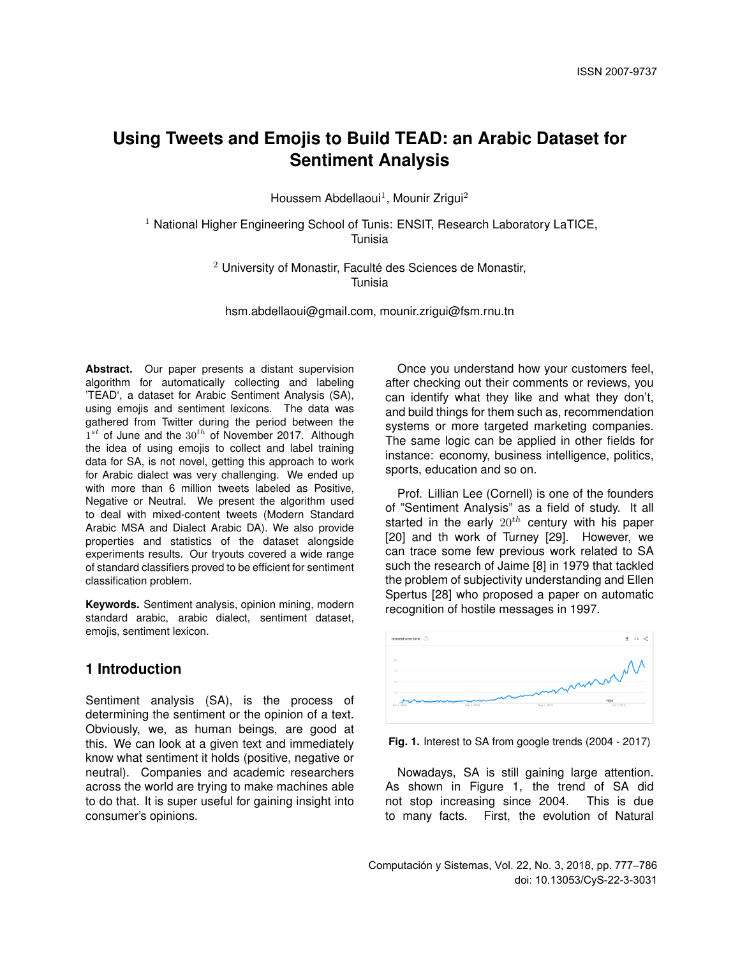Houssem Abdellaoui<sup>1</sup>, Mounir Zrigui<sup>2</sup>

<sup>1</sup> National Higher Engineering School of Tunis: ENSIT, Research Laboratory LaTICE, Tunisia

> $2$  University of Monastir. Faculté des Sciences de Monastir. Tunisia

hsm.abdellaoui@gmail.com, mounir.zrigui@fsm.rnu.tn

**Abstract.** Our paper presents a distant supervision algorithm for automatically collecting and labeling 'TEAD', a dataset for Arabic Sentiment Analysis (SA), using emojis and sentiment lexicons. The data was gathered from Twitter during the period between the  $1^{st}$  of June and the  $30^{th}$  of November 2017. Although the idea of using emojis to collect and label training data for SA, is not novel, getting this approach to work for Arabic dialect was very challenging. We ended up with more than 6 million tweets labeled as Positive. Negative or Neutral. We present the algorithm used to deal with mixed-content tweets (Modern Standard Arabic MSA and Dialect Arabic DA). We also provide properties and statistics of the dataset alongside experiments results. Our tryouts covered a wide range of standard classifiers proved to be efficient for sentiment classification problem.

**Keywords.** Sentiment analysis, opinion mining, modern standard arabic, arabic dialect, sentiment dataset, emojis, sentiment lexicon.

# **1 Introduction**

Sentiment analysis (SA), is the process of determining the sentiment or the opinion of a text. Obviously, we, as human beings, are good at this. We can look at a given text and immediately know what sentiment it holds (positive, negative or neutral). Companies and academic researchers across the world are trying to make machines able to do that. It is super useful for gaining insight into consumer's opinions.

Once you understand how your customers feel, after checking out their comments or reviews, you can identify what they like and what they don't, and build things for them such as, recommendation systems or more targeted marketing companies. The same logic can be applied in other fields for instance: economy, business intelligence, politics, sports, education and so on.

Prof. Lillian Lee (Cornell) is one of the founders of "Sentiment Analysis" as a field of study. It all started in the early  $20^{th}$  century with his paper [20] and th work of Turney [29]. However, we can trace some few previous work related to SA such the research of Jaime [8] in 1979 that tackled the problem of subjectivity understanding and Ellen Spertus [28] who proposed a paper on automatic recognition of hostile messages in 1997.



**Fig. 1.** Interest to SA from google trends (2004 - 2017)

Nowadays, SA is still gaining large attention. As shown in Figure 1, the trend of SA did not stop increasing since 2004. This is due to many facts. First, the evolution of Natural

Computación y Sistemas, Vol. 22, No. 3, 2018, pp. 777–786 doi: 10.13053/CyS-22-3-3031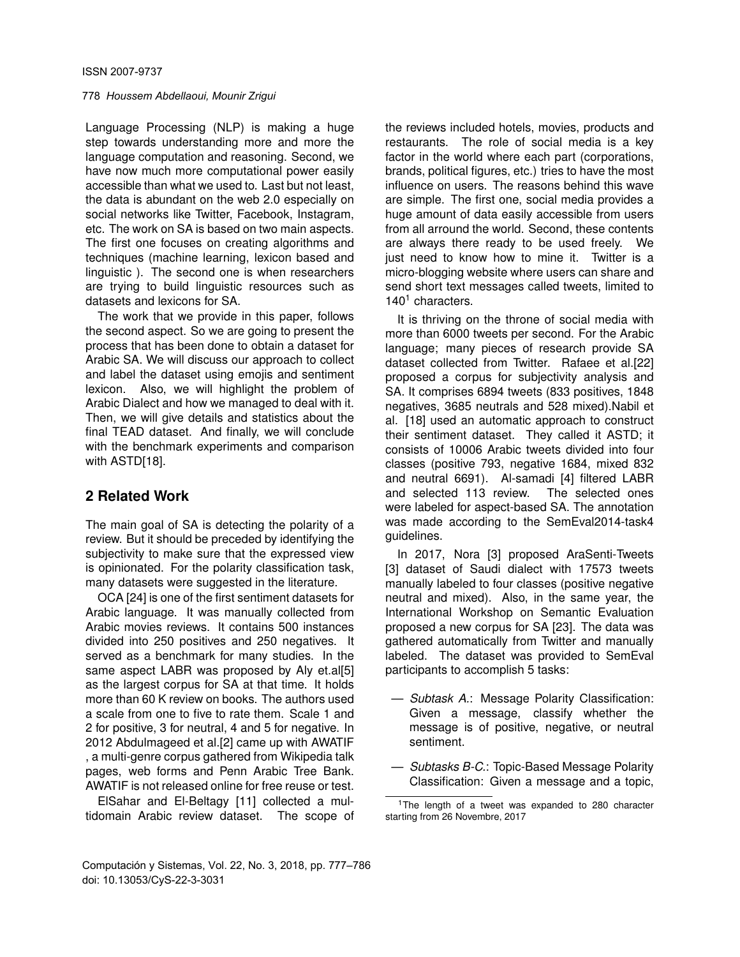Language Processing (NLP) is making a huge step towards understanding more and more the language computation and reasoning. Second, we have now much more computational power easily accessible than what we used to. Last but not least, the data is abundant on the web 2.0 especially on social networks like Twitter, Facebook, Instagram, etc. The work on SA is based on two main aspects. The first one focuses on creating algorithms and techniques (machine learning, lexicon based and linguistic ). The second one is when researchers are trying to build linguistic resources such as datasets and lexicons for SA.

The work that we provide in this paper, follows the second aspect. So we are going to present the process that has been done to obtain a dataset for Arabic SA. We will discuss our approach to collect and label the dataset using emojis and sentiment lexicon. Also, we will highlight the problem of Arabic Dialect and how we managed to deal with it. Then, we will give details and statistics about the final TEAD dataset. And finally, we will conclude with the benchmark experiments and comparison with ASTD[18].

# **2 Related Work**

The main goal of SA is detecting the polarity of a review. But it should be preceded by identifying the subjectivity to make sure that the expressed view is opinionated. For the polarity classification task, many datasets were suggested in the literature.

OCA [24] is one of the first sentiment datasets for Arabic language. It was manually collected from Arabic movies reviews. It contains 500 instances divided into 250 positives and 250 negatives. It served as a benchmark for many studies. In the same aspect LABR was proposed by Aly et.al[5] as the largest corpus for SA at that time. It holds more than 60 K review on books. The authors used a scale from one to five to rate them. Scale 1 and 2 for positive, 3 for neutral, 4 and 5 for negative. In 2012 Abdulmageed et al.[2] came up with AWATIF , a multi-genre corpus gathered from Wikipedia talk pages, web forms and Penn Arabic Tree Bank. AWATIF is not released online for free reuse or test.

ElSahar and El-Beltagy [11] collected a multidomain Arabic review dataset. The scope of the reviews included hotels, movies, products and restaurants. The role of social media is a key factor in the world where each part (corporations, brands, political figures, etc.) tries to have the most influence on users. The reasons behind this wave are simple. The first one, social media provides a huge amount of data easily accessible from users from all arround the world. Second, these contents are always there ready to be used freely. We just need to know how to mine it. Twitter is a micro-blogging website where users can share and send short text messages called tweets, limited to  $140<sup>1</sup>$  characters.

It is thriving on the throne of social media with more than 6000 tweets per second. For the Arabic language; many pieces of research provide SA dataset collected from Twitter. Rafaee et al.[22] proposed a corpus for subjectivity analysis and SA. It comprises 6894 tweets (833 positives, 1848 negatives, 3685 neutrals and 528 mixed).Nabil et al. [18] used an automatic approach to construct their sentiment dataset. They called it ASTD; it consists of 10006 Arabic tweets divided into four classes (positive 793, negative 1684, mixed 832 and neutral 6691). Al-samadi [4] filtered LABR and selected 113 review. The selected ones were labeled for aspect-based SA. The annotation was made according to the SemEval2014-task4 guidelines.

In 2017, Nora [3] proposed AraSenti-Tweets [3] dataset of Saudi dialect with 17573 tweets manually labeled to four classes (positive negative neutral and mixed). Also, in the same year, the International Workshop on Semantic Evaluation proposed a new corpus for SA [23]. The data was gathered automatically from Twitter and manually labeled. The dataset was provided to SemEval participants to accomplish 5 tasks:

- *Subtask A.*: Message Polarity Classification: Given a message, classify whether the message is of positive, negative, or neutral sentiment.
- *Subtasks B-C.*: Topic-Based Message Polarity Classification: Given a message and a topic,

<sup>&</sup>lt;sup>1</sup>The length of a tweet was expanded to 280 character starting from 26 Novembre, 2017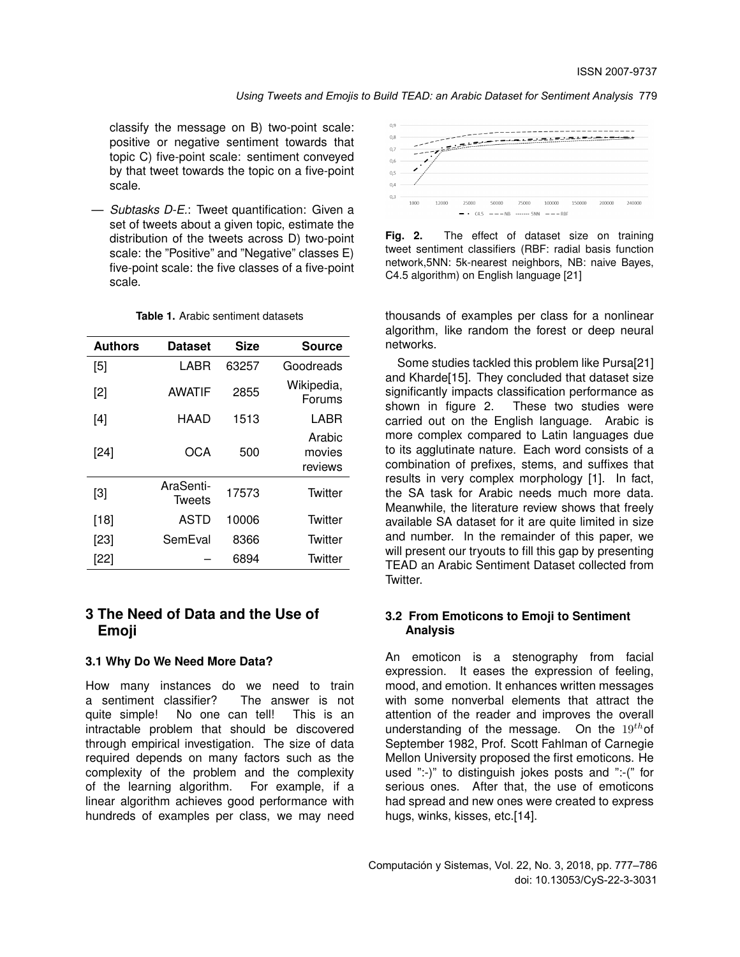classify the message on B) two-point scale: positive or negative sentiment towards that topic C) five-point scale: sentiment conveyed by that tweet towards the topic on a five-point scale.

— *Subtasks D-E.*: Tweet quantification: Given a set of tweets about a given topic, estimate the distribution of the tweets across D) two-point scale: the "Positive" and "Negative" classes E) five-point scale: the five classes of a five-point scale.

| <b>Authors</b> | <b>Dataset</b>      | <b>Size</b> | <b>Source</b>               |
|----------------|---------------------|-------------|-----------------------------|
| $[5]$          | LABR                | 63257       | Goodreads                   |
| $[2]$          | <b>AWATIF</b>       | 2855        | Wikipedia,<br>Forums        |
| [4]            | HAAD                | 1513        | LABR                        |
| $[24]$         | OCA                 | 500         | Arabic<br>movies<br>reviews |
| $[3]$          | AraSenti-<br>Tweets | 17573       | Twitter                     |
| $[18]$         | ASTD                | 10006       | Twitter                     |
| $[23]$         | SemEval             | 8366        | Twitter                     |
| [22]           |                     | 6894        | Twitter                     |

#### **Table 1.** Arabic sentiment datasets

# **3 The Need of Data and the Use of Emoji**

### **3.1 Why Do We Need More Data?**

How many instances do we need to train a sentiment classifier? The answer is not quite simple! No one can tell! This is an intractable problem that should be discovered through empirical investigation. The size of data required depends on many factors such as the complexity of the problem and the complexity of the learning algorithm. For example, if a linear algorithm achieves good performance with hundreds of examples per class, we may need



**Fig. 2.** The effect of dataset size on training tweet sentiment classifiers (RBF: radial basis function network,5NN: 5k-nearest neighbors, NB: naive Bayes, C4.5 algorithm) on English language [21]

thousands of examples per class for a nonlinear algorithm, like random the forest or deep neural networks.

Some studies tackled this problem like Pursa[21] and Kharde[15]. They concluded that dataset size significantly impacts classification performance as shown in figure 2. These two studies were carried out on the English language. Arabic is more complex compared to Latin languages due to its agglutinate nature. Each word consists of a combination of prefixes, stems, and suffixes that results in very complex morphology [1]. In fact, the SA task for Arabic needs much more data. Meanwhile, the literature review shows that freely available SA dataset for it are quite limited in size and number. In the remainder of this paper, we will present our tryouts to fill this gap by presenting TEAD an Arabic Sentiment Dataset collected from Twitter.

#### **3.2 From Emoticons to Emoji to Sentiment Analysis**

An emoticon is a stenography from facial expression. It eases the expression of feeling, mood, and emotion. It enhances written messages with some nonverbal elements that attract the attention of the reader and improves the overall understanding of the message. On the  $19<sup>th</sup>$ of September 1982, Prof. Scott Fahlman of Carnegie Mellon University proposed the first emoticons. He used ":-)" to distinguish jokes posts and ":-(" for serious ones. After that, the use of emoticons had spread and new ones were created to express hugs, winks, kisses, etc.[14].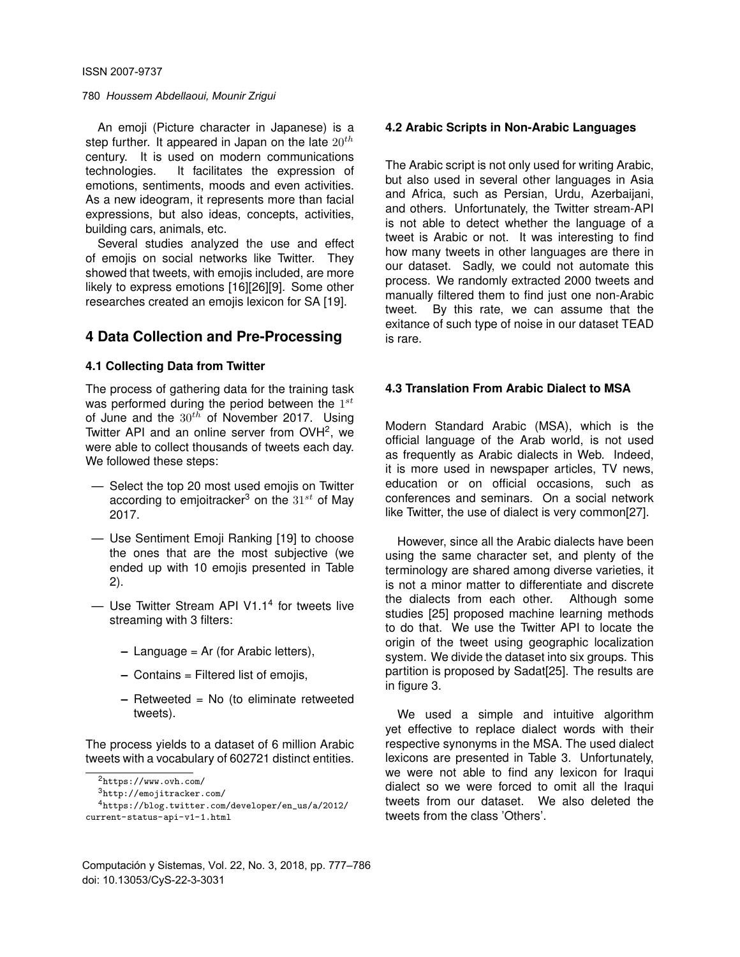An emoji (Picture character in Japanese) is a step further. It appeared in Japan on the late  $20^{th}$ century. It is used on modern communications technologies. It facilitates the expression of emotions, sentiments, moods and even activities. As a new ideogram, it represents more than facial expressions, but also ideas, concepts, activities, building cars, animals, etc.

Several studies analyzed the use and effect of emojis on social networks like Twitter. They showed that tweets, with emojis included, are more likely to express emotions [16][26][9]. Some other researches created an emojis lexicon for SA [19].

# **4 Data Collection and Pre-Processing**

#### **4.1 Collecting Data from Twitter**

The process of gathering data for the training task was performed during the period between the  $1^{st}$ of June and the  $30^{th}$  of November 2017. Using Twitter API and an online server from OVH<sup>2</sup>, we were able to collect thousands of tweets each day. We followed these steps:

- Select the top 20 most used emojis on Twitter according to emjoitracker<sup>3</sup> on the  $31^{st}$  of May 2017.
- Use Sentiment Emoji Ranking [19] to choose the ones that are the most subjective (we ended up with 10 emojis presented in Table 2).
- Use Twitter Stream API V1.1<sup>4</sup> for tweets live streaming with 3 filters:
	- **–** Language = Ar (for Arabic letters),
	- **–** Contains = Filtered list of emojis,
	- **–** Retweeted = No (to eliminate retweeted tweets).

The process yields to a dataset of 6 million Arabic tweets with a vocabulary of 602721 distinct entities.

<sup>3</sup>http://emojitracker.com/

#### **4.2 Arabic Scripts in Non-Arabic Languages**

The Arabic script is not only used for writing Arabic, but also used in several other languages in Asia and Africa, such as Persian, Urdu, Azerbaijani, and others. Unfortunately, the Twitter stream-API is not able to detect whether the language of a tweet is Arabic or not. It was interesting to find how many tweets in other languages are there in our dataset. Sadly, we could not automate this process. We randomly extracted 2000 tweets and manually filtered them to find just one non-Arabic tweet. By this rate, we can assume that the exitance of such type of noise in our dataset TEAD is rare.

#### **4.3 Translation From Arabic Dialect to MSA**

Modern Standard Arabic (MSA), which is the official language of the Arab world, is not used as frequently as Arabic dialects in Web. Indeed, it is more used in newspaper articles, TV news, education or on official occasions, such as conferences and seminars. On a social network like Twitter, the use of dialect is very common[27].

However, since all the Arabic dialects have been using the same character set, and plenty of the terminology are shared among diverse varieties, it is not a minor matter to differentiate and discrete the dialects from each other. Although some studies [25] proposed machine learning methods to do that. We use the Twitter API to locate the origin of the tweet using geographic localization system. We divide the dataset into six groups. This partition is proposed by Sadat[25]. The results are in figure 3.

We used a simple and intuitive algorithm yet effective to replace dialect words with their respective synonyms in the MSA. The used dialect lexicons are presented in Table 3. Unfortunately, we were not able to find any lexicon for Iraqui dialect so we were forced to omit all the Iraqui tweets from our dataset. We also deleted the tweets from the class 'Others'.

<sup>2</sup>https://www.ovh.com/

<sup>4</sup>https://blog.twitter.com/developer/en\_us/a/2012/ current-status-api-v1-1.html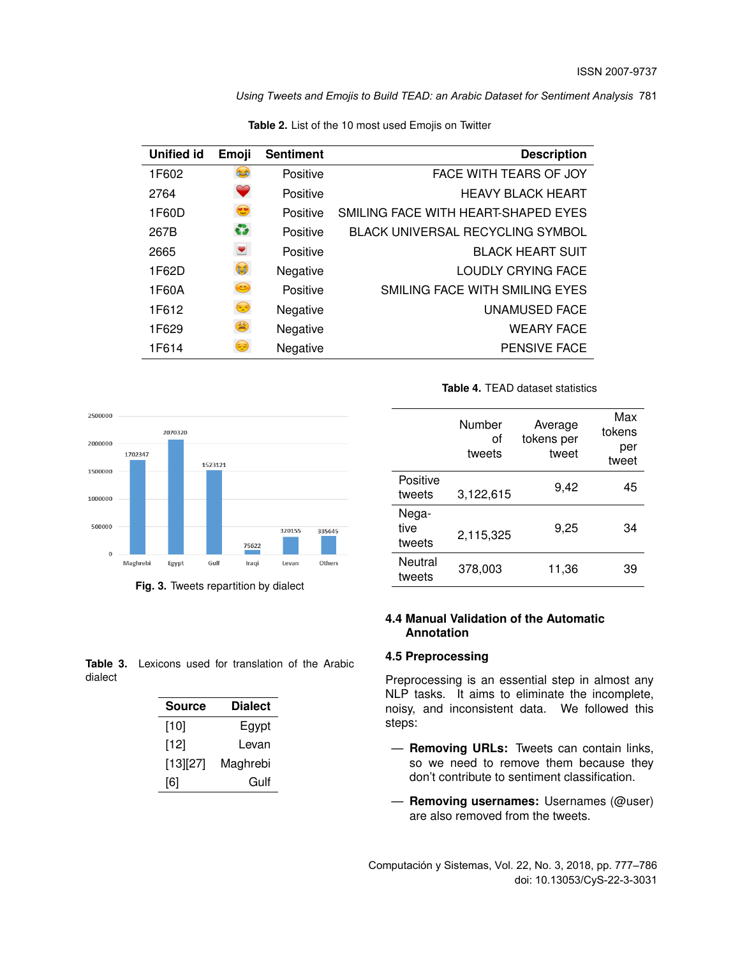| <b>Unified id</b> | Emoji            | <b>Sentiment</b> | <b>Description</b>                      |
|-------------------|------------------|------------------|-----------------------------------------|
| 1F602             | $\left( \right)$ | Positive         | FACE WITH TEARS OF JOY                  |
| 2764              | $\heartsuit$     | Positive         | <b>HEAVY BLACK HEART</b>                |
| 1F60D             | $\bullet$        | Positive         | SMILING FACE WITH HEART-SHAPED EYES     |
| 267B              | ÷                | Positive         | <b>BLACK UNIVERSAL RECYCLING SYMBOL</b> |
| 2665              | $\bullet$        | Positive         | <b>BLACK HEART SUIT</b>                 |
| 1F62D             | $\mathbf{G}$     | Negative         | LOUDLY CRYING FACE                      |
| 1F60A             | $\odot$          | Positive         | SMILING FACE WITH SMILING EYES          |
| 1F612             | $\odot$          | Negative         | UNAMUSED FACE                           |
| 1F629             | $\odot$          | Negative         | <b>WEARY FACE</b>                       |
| 1F614             | ⊖                | Negative         | <b>PENSIVE FACE</b>                     |
|                   |                  |                  |                                         |

**Table 2.** List of the 10 most used Emojis on Twitter



**Fig. 3.** Tweets repartition by dialect

**Table 4.** TEAD dataset statistics

|                         | Number<br>οf<br>tweets | Average<br>tokens per<br>tweet | Max<br>tokens<br>per<br>tweet |
|-------------------------|------------------------|--------------------------------|-------------------------------|
| Positive<br>tweets      | 3,122,615              | 9,42                           | 45                            |
| Nega-<br>tive<br>tweets | 2,115,325              | 9,25                           | 34                            |
| Neutral<br>tweets       | 378,003                | 11,36                          | 39                            |

# **4.4 Manual Validation of the Automatic Annotation**

#### **4.5 Preprocessing**

Preprocessing is an essential step in almost any NLP tasks. It aims to eliminate the incomplete, noisy, and inconsistent data. We followed this steps:

- **Removing URLs:** Tweets can contain links, so we need to remove them because they don't contribute to sentiment classification.
- **Removing usernames:** Usernames (@user) are also removed from the tweets.

Computación y Sistemas, Vol. 22, No. 3, 2018, pp. 777–786 doi: 10.13053/CyS-22-3-3031

**Table 3.** Lexicons used for translation of the Arabic dialect

| <b>Source</b> | <b>Dialect</b> |
|---------------|----------------|
| [10]          | Egypt          |
| [12]          | Levan          |
| [13][27]      | Maghrebi       |
| [6]           | Gulf           |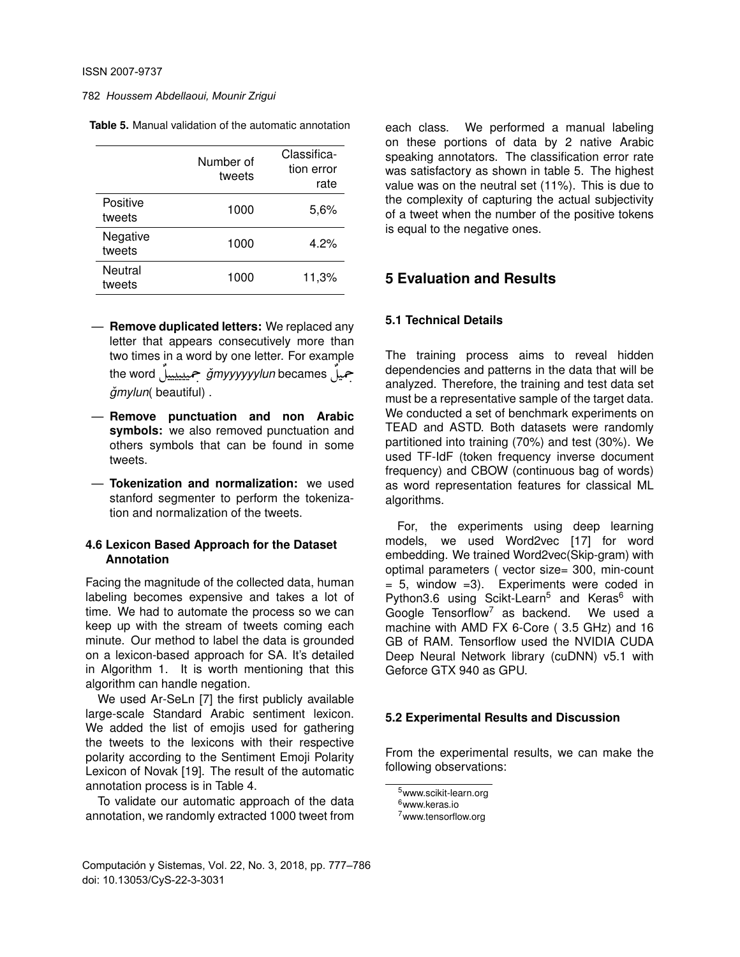|  | <b>Table 5.</b> Manual validation of the automatic annotation |
|--|---------------------------------------------------------------|
|--|---------------------------------------------------------------|

|                    | Number of<br>tweets | Classifica-<br>tion error<br>rate |
|--------------------|---------------------|-----------------------------------|
| Positive<br>tweets | 1000                | 5,6%                              |
| Negative<br>tweets | 1000                | 4.2%                              |
| Neutral<br>tweets  | 1000                | 11,3%                             |

- **Remove duplicated letters:** We replaced any letter that appears consecutively more than two times in a word by one letter. For example the word ÉJ Ôg *gmyyyyyylun ˇ* becames ÉJ Ôg i<br>" J  $\ddot{\cdot}$ J  $\ddot{\cdot}$ J  $\ddot{\cdot}$ .<br>. )<br>ม .<br>.  $\check{q}$ *mylun*(beautiful).
- **Remove punctuation and non Arabic symbols:** we also removed punctuation and others symbols that can be found in some tweets.
- **Tokenization and normalization:** we used stanford segmenter to perform the tokenization and normalization of the tweets.

### **4.6 Lexicon Based Approach for the Dataset Annotation**

Facing the magnitude of the collected data, human labeling becomes expensive and takes a lot of time. We had to automate the process so we can keep up with the stream of tweets coming each minute. Our method to label the data is grounded on a lexicon-based approach for SA. It's detailed in Algorithm 1. It is worth mentioning that this algorithm can handle negation.

We used Ar-SeLn [7] the first publicly available large-scale Standard Arabic sentiment lexicon. We added the list of emojis used for gathering the tweets to the lexicons with their respective polarity according to the Sentiment Emoji Polarity Lexicon of Novak [19]. The result of the automatic annotation process is in Table 4.

To validate our automatic approach of the data annotation, we randomly extracted 1000 tweet from

Computación y Sistemas, Vol. 22, No. 3, 2018, pp. 777–786 doi: 10.13053/CyS-22-3-3031

each class. We performed a manual labeling on these portions of data by 2 native Arabic speaking annotators. The classification error rate was satisfactory as shown in table 5. The highest value was on the neutral set (11%). This is due to the complexity of capturing the actual subjectivity of a tweet when the number of the positive tokens is equal to the negative ones.

# **5 Evaluation and Results**

### **5.1 Technical Details**

The training process aims to reveal hidden dependencies and patterns in the data that will be analyzed. Therefore, the training and test data set must be a representative sample of the target data. We conducted a set of benchmark experiments on TEAD and ASTD. Both datasets were randomly partitioned into training (70%) and test (30%). We used TF-IdF (token frequency inverse document frequency) and CBOW (continuous bag of words) as word representation features for classical ML algorithms.

For, the experiments using deep learning models, we used Word2vec [17] for word embedding. We trained Word2vec(Skip-gram) with optimal parameters ( vector size= 300, min-count  $= 5$ , window  $= 3$ ). Experiments were coded in Python3.6 using Scikt-Learn<sup>5</sup> and Keras<sup>6</sup> with Google Tensorflow<sup>7</sup> as backend. We used a machine with AMD FX 6-Core ( 3.5 GHz) and 16 GB of RAM. Tensorflow used the NVIDIA CUDA Deep Neural Network library (cuDNN) v5.1 with Geforce GTX 940 as GPU.

#### **5.2 Experimental Results and Discussion**

From the experimental results, we can make the following observations:

<sup>5</sup>www.scikit-learn.org <sup>6</sup>www.keras.io <sup>7</sup>www.tensorflow.org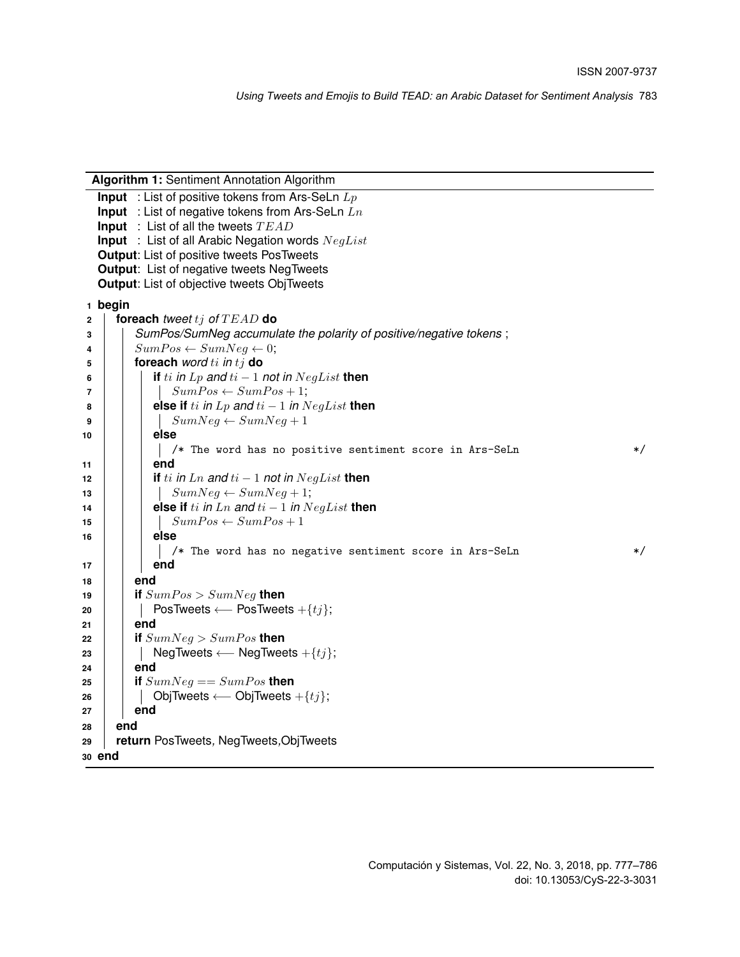| Algorithm 1: Sentiment Annotation Algorithm                             |
|-------------------------------------------------------------------------|
| <b>Input</b> : List of positive tokens from Ars-SeLn $L_p$              |
| <b>Input</b> : List of negative tokens from Ars-SeLn $Ln$               |
| <b>Input</b> : List of all the tweets $TEAD$                            |
| <b>Input</b> : List of all Arabic Negation words $NegList$              |
| <b>Output:</b> List of positive tweets PosTweets                        |
| <b>Output:</b> List of negative tweets NegTweets                        |
| <b>Output:</b> List of objective tweets ObjTweets                       |
| 1 begin                                                                 |
| foreach tweet $t_j$ of $TEAD$ do<br>$\mathbf{2}$                        |
| SumPos/SumNeg accumulate the polarity of positive/negative tokens;<br>3 |
| $SumPos \leftarrow SumNeg \leftarrow 0;$<br>4                           |
| foreach word $ti$ in $tj$ do<br>5                                       |
| if ti in Lp and $ti-1$ not in $NegList$ then<br>6                       |
| $SumPos \leftarrow SumPos + 1;$<br>$\overline{7}$                       |
| else if ti in Lp and $ti - 1$ in $NegList$ then<br>8                    |
| $SumNeg \leftarrow SumNeg + 1$<br>9                                     |
| else<br>10                                                              |
| /* The word has no positive sentiment score in Ars-SeLn<br>$\ast/$      |
| end<br>11                                                               |
| if ti in Ln and $ti-1$ not in $NegList$ then<br>12                      |
| $SumNeg \leftarrow SumNeg + 1;$<br>13                                   |
| else if ti in Ln and $ti - 1$ in $NegList$ then<br>14                   |
| $SumPos \leftarrow SumPos + 1$<br>15                                    |
| else<br>16                                                              |
| /* The word has no negative sentiment score in Ars-SeLn<br>$\ast/$      |
| end<br>17                                                               |
| end<br>18                                                               |
| if $SumPos > SumNeg$ then<br>19                                         |
| PosTweets $\longleftarrow$ PosTweets $+\{tj\};$<br>20                   |
| end<br>21                                                               |
| if $SumNeg > SumPos$ then<br>22                                         |
| NegTweets $\longleftarrow$ NegTweets $+\{tj\};$<br>23                   |
| end<br>24                                                               |
| if $SumNeg == SumPos$ then<br>25                                        |
| ObjTweets $\longleftarrow$ ObjTweets $+\{tj\};$<br>26                   |
| end<br>27                                                               |
| end<br>28                                                               |
| return PosTweets, NegTweets, ObjTweets<br>29                            |
| 30 end                                                                  |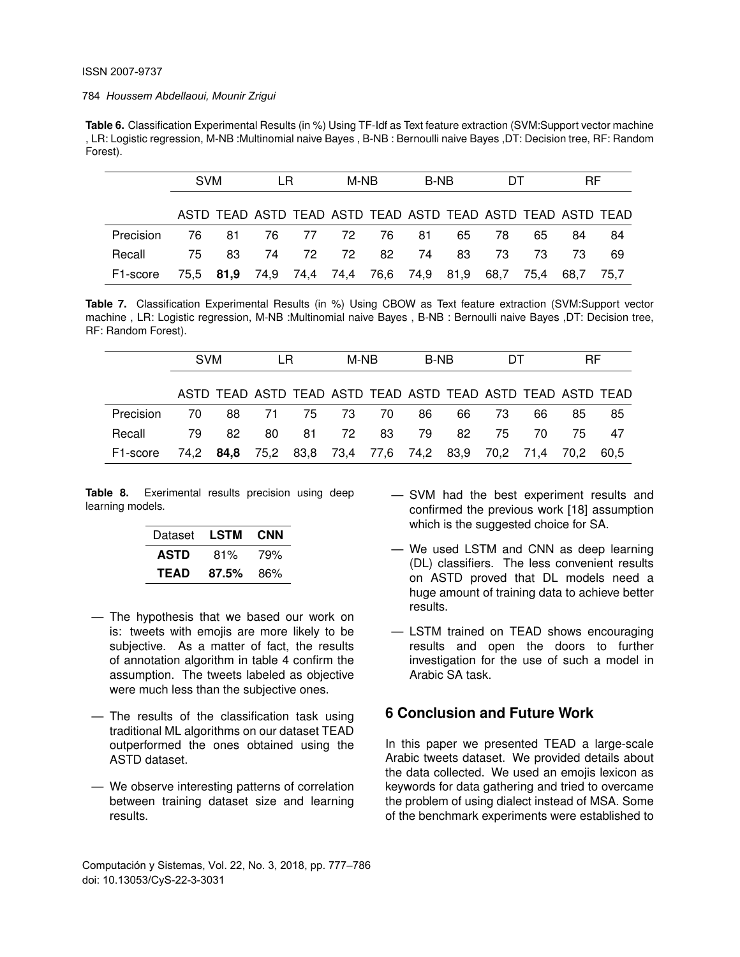**Table 6.** Classification Experimental Results (in %) Using TF-Idf as Text feature extraction (SVM:Support vector machine , LR: Logistic regression, M-NB :Multinomial naive Bayes , B-NB : Bernoulli naive Bayes ,DT: Decision tree, RF: Random Forest).

|                       | <b>SVM</b> |                                                             | LR.  |          | M-NB  |     | B-NB |    | DТ        |      | RF   |      |
|-----------------------|------------|-------------------------------------------------------------|------|----------|-------|-----|------|----|-----------|------|------|------|
|                       |            | ASTD TEAD ASTD TEAD ASTD TEAD ASTD TEAD ASTD TEAD ASTD TEAD |      |          |       |     |      |    |           |      |      |      |
| Precision             | 76.        | -81                                                         |      | 76 77 72 |       | 76  | -81  | 65 | 78.       | 65.  | 84   | 84   |
| Recall                | 75.        | 83                                                          | - 74 |          | 72 72 | -82 | - 74 | 83 | 73        | -73- | -73  | 69   |
| F <sub>1</sub> -score |            | 75,5 <b>81,9</b> 74,9 74,4 74,4 76,6 74,9 81,9              |      |          |       |     |      |    | 68,7 75,4 |      | 68.7 | 75.7 |

**Table 7.** Classification Experimental Results (in %) Using CBOW as Text feature extraction (SVM:Support vector machine , LR: Logistic regression, M-NB :Multinomial naive Bayes , B-NB : Bernoulli naive Bayes ,DT: Decision tree, RF: Random Forest).

|           | <b>SVM</b> |                                                        | LR |      | M-NB |    | B-NB |    | DТ  |     | <b>RF</b> |                                                             |
|-----------|------------|--------------------------------------------------------|----|------|------|----|------|----|-----|-----|-----------|-------------------------------------------------------------|
|           |            |                                                        |    |      |      |    |      |    |     |     |           | ASTD TEAD ASTD TEAD ASTD TEAD ASTD TEAD ASTD TEAD ASTD TEAD |
| Precision | 70.        | 88                                                     | 71 | 75   | - 73 | 70 | 86.  | 66 | 73. | 66  | 85        | 85                                                          |
| Recall    | 79.        | 82                                                     | 80 | 81 — | 72   | 83 | 79   | 82 | 75  | 70. | 75.       | 47                                                          |
| F1-score  |            | 74,2 84,8 75,2 83,8 73,4 77,6 74,2 83,9 70,2 71,4 70,2 |    |      |      |    |      |    |     |     |           | 60.5                                                        |

**Table 8.** Exerimental results precision using deep learning models.

| Dataset     | LSTM  | <b>CNN</b> |
|-------------|-------|------------|
| <b>ASTD</b> | 81%   | 79%        |
| <b>TEAD</b> | 87.5% | 86%        |

- The hypothesis that we based our work on is: tweets with emojis are more likely to be subjective. As a matter of fact, the results of annotation algorithm in table 4 confirm the assumption. The tweets labeled as objective were much less than the subjective ones.
- The results of the classification task using traditional ML algorithms on our dataset TEAD outperformed the ones obtained using the ASTD dataset.
- We observe interesting patterns of correlation between training dataset size and learning results.
- SVM had the best experiment results and confirmed the previous work [18] assumption which is the suggested choice for SA.
- We used LSTM and CNN as deep learning (DL) classifiers. The less convenient results on ASTD proved that DL models need a huge amount of training data to achieve better results.
- LSTM trained on TEAD shows encouraging results and open the doors to further investigation for the use of such a model in Arabic SA task.

# **6 Conclusion and Future Work**

In this paper we presented TEAD a large-scale Arabic tweets dataset. We provided details about the data collected. We used an emojis lexicon as keywords for data gathering and tried to overcame the problem of using dialect instead of MSA. Some of the benchmark experiments were established to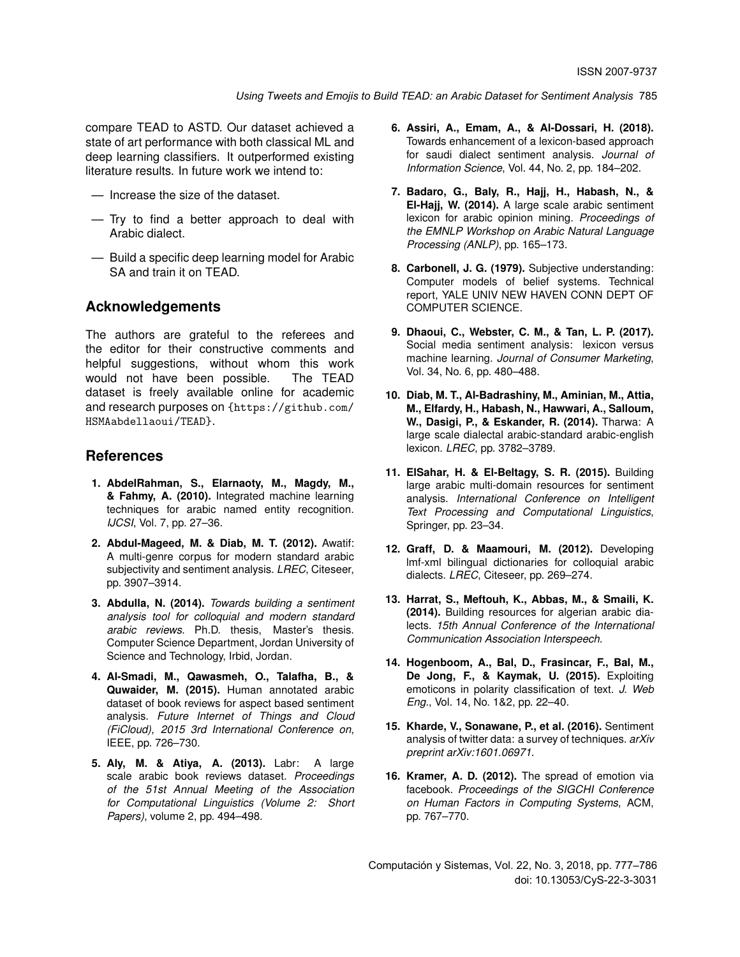compare TEAD to ASTD. Our dataset achieved a state of art performance with both classical ML and deep learning classifiers. It outperformed existing literature results. In future work we intend to:

- Increase the size of the dataset.
- Try to find a better approach to deal with Arabic dialect.
- Build a specific deep learning model for Arabic SA and train it on TEAD.

## **Acknowledgements**

The authors are grateful to the referees and the editor for their constructive comments and helpful suggestions, without whom this work would not have been possible. The TEAD dataset is freely available online for academic and research purposes on {https://github.com/ HSMAabdellaoui/TEAD}.

### **References**

- **1. AbdelRahman, S., Elarnaoty, M., Magdy, M., & Fahmy, A. (2010).** Integrated machine learning techniques for arabic named entity recognition. *IJCSI*, Vol. 7, pp. 27–36.
- **2. Abdul-Mageed, M. & Diab, M. T. (2012).** Awatif: A multi-genre corpus for modern standard arabic subjectivity and sentiment analysis. *LREC*, Citeseer, pp. 3907–3914.
- **3. Abdulla, N. (2014).** *Towards building a sentiment analysis tool for colloquial and modern standard arabic reviews*. Ph.D. thesis, Master's thesis. Computer Science Department, Jordan University of Science and Technology, Irbid, Jordan.
- **4. Al-Smadi, M., Qawasmeh, O., Talafha, B., & Quwaider, M. (2015).** Human annotated arabic dataset of book reviews for aspect based sentiment analysis. *Future Internet of Things and Cloud (FiCloud), 2015 3rd International Conference on*, IEEE, pp. 726–730.
- **5. Aly, M. & Atiya, A. (2013).** Labr: A large scale arabic book reviews dataset. *Proceedings of the 51st Annual Meeting of the Association for Computational Linguistics (Volume 2: Short Papers)*, volume 2, pp. 494–498.
- **6. Assiri, A., Emam, A., & Al-Dossari, H. (2018).** Towards enhancement of a lexicon-based approach for saudi dialect sentiment analysis. *Journal of Information Science*, Vol. 44, No. 2, pp. 184–202.
- **7. Badaro, G., Baly, R., Hajj, H., Habash, N., & El-Hajj, W. (2014).** A large scale arabic sentiment lexicon for arabic opinion mining. *Proceedings of the EMNLP Workshop on Arabic Natural Language Processing (ANLP)*, pp. 165–173.
- **8. Carbonell, J. G. (1979).** Subjective understanding: Computer models of belief systems. Technical report, YALE UNIV NEW HAVEN CONN DEPT OF COMPUTER SCIENCE.
- **9. Dhaoui, C., Webster, C. M., & Tan, L. P. (2017).** Social media sentiment analysis: lexicon versus machine learning. *Journal of Consumer Marketing*, Vol. 34, No. 6, pp. 480–488.
- **10. Diab, M. T., Al-Badrashiny, M., Aminian, M., Attia, M., Elfardy, H., Habash, N., Hawwari, A., Salloum, W., Dasigi, P., & Eskander, R. (2014).** Tharwa: A large scale dialectal arabic-standard arabic-english lexicon. *LREC*, pp. 3782–3789.
- **11. ElSahar, H. & El-Beltagy, S. R. (2015).** Building large arabic multi-domain resources for sentiment analysis. *International Conference on Intelligent Text Processing and Computational Linguistics*, Springer, pp. 23–34.
- **12. Graff, D. & Maamouri, M. (2012).** Developing lmf-xml bilingual dictionaries for colloquial arabic dialects. *LREC*, Citeseer, pp. 269–274.
- **13. Harrat, S., Meftouh, K., Abbas, M., & Smaili, K. (2014).** Building resources for algerian arabic dialects. *15th Annual Conference of the International Communication Association Interspeech*.
- **14. Hogenboom, A., Bal, D., Frasincar, F., Bal, M., De Jong, F., & Kaymak, U. (2015).** Exploiting emoticons in polarity classification of text. *J. Web Eng.*, Vol. 14, No. 1&2, pp. 22–40.
- **15. Kharde, V., Sonawane, P., et al. (2016).** Sentiment analysis of twitter data: a survey of techniques. *arXiv preprint arXiv:1601.06971*.
- **16. Kramer, A. D. (2012).** The spread of emotion via facebook. *Proceedings of the SIGCHI Conference on Human Factors in Computing Systems*, ACM, pp. 767–770.

Computación y Sistemas, Vol. 22, No. 3, 2018, pp. 777–786 doi: 10.13053/CyS-22-3-3031